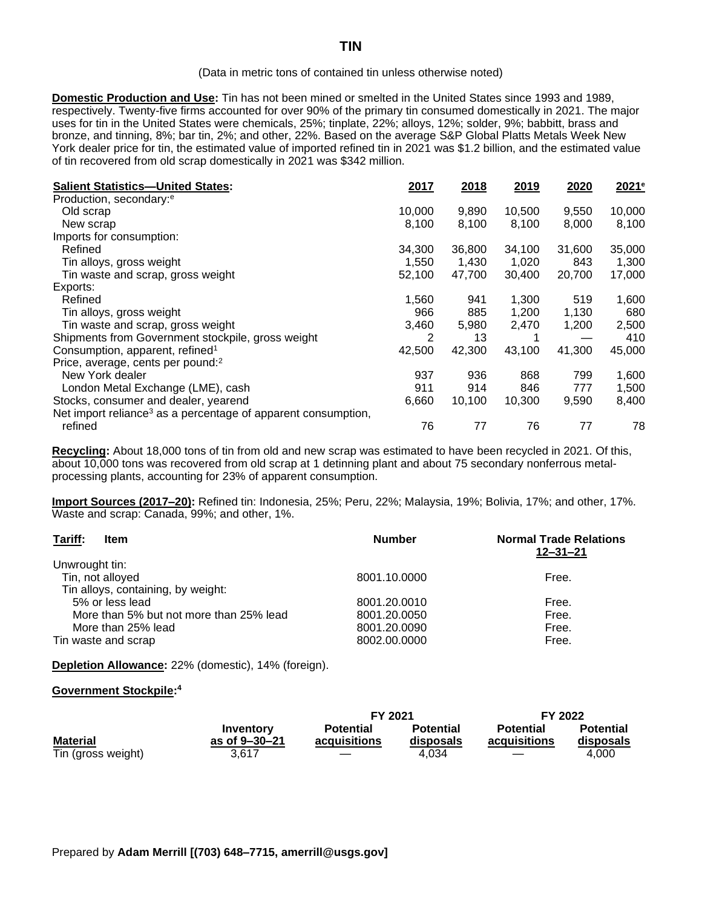## (Data in metric tons of contained tin unless otherwise noted)

**Domestic Production and Use:** Tin has not been mined or smelted in the United States since 1993 and 1989, respectively. Twenty-five firms accounted for over 90% of the primary tin consumed domestically in 2021. The major uses for tin in the United States were chemicals, 25%; tinplate, 22%; alloys, 12%; solder, 9%; babbitt, brass and bronze, and tinning, 8%; bar tin, 2%; and other, 22%. Based on the average S&P Global Platts Metals Week New York dealer price for tin, the estimated value of imported refined tin in 2021 was \$1.2 billion, and the estimated value of tin recovered from old scrap domestically in 2021 was \$342 million.

| <b>Salient Statistics-United States:</b>                                  | 2017   | 2018   | 2019   | 2020   | 2021 <sup>e</sup> |
|---------------------------------------------------------------------------|--------|--------|--------|--------|-------------------|
| Production, secondary: <sup>e</sup>                                       |        |        |        |        |                   |
| Old scrap                                                                 | 10,000 | 9,890  | 10,500 | 9,550  | 10,000            |
| New scrap                                                                 | 8,100  | 8,100  | 8,100  | 8,000  | 8,100             |
| Imports for consumption:                                                  |        |        |        |        |                   |
| Refined                                                                   | 34,300 | 36,800 | 34,100 | 31,600 | 35,000            |
| Tin alloys, gross weight                                                  | 1,550  | 1,430  | 1,020  | 843    | 1,300             |
| Tin waste and scrap, gross weight                                         | 52,100 | 47,700 | 30,400 | 20,700 | 17,000            |
| Exports:                                                                  |        |        |        |        |                   |
| Refined                                                                   | 1,560  | 941    | 1,300  | 519    | 1,600             |
| Tin alloys, gross weight                                                  | 966    | 885    | 1,200  | 1,130  | 680               |
| Tin waste and scrap, gross weight                                         | 3,460  | 5,980  | 2,470  | 1,200  | 2,500             |
| Shipments from Government stockpile, gross weight                         | 2      | 13     |        |        | 410               |
| Consumption, apparent, refined <sup>1</sup>                               | 42,500 | 42.300 | 43,100 | 41.300 | 45,000            |
| Price, average, cents per pound: <sup>2</sup>                             |        |        |        |        |                   |
| New York dealer                                                           | 937    | 936    | 868    | 799    | 1,600             |
| London Metal Exchange (LME), cash                                         | 911    | 914    | 846    | 777    | 1,500             |
| Stocks, consumer and dealer, yearend                                      | 6,660  | 10,100 | 10,300 | 9,590  | 8,400             |
| Net import reliance <sup>3</sup> as a percentage of apparent consumption, |        |        |        |        |                   |
| refined                                                                   | 76     | 77     | 76     | 77     | 78                |

**Recycling:** About 18,000 tons of tin from old and new scrap was estimated to have been recycled in 2021. Of this, about 10,000 tons was recovered from old scrap at 1 detinning plant and about 75 secondary nonferrous metalprocessing plants, accounting for 23% of apparent consumption.

**Import Sources (2017–20):** Refined tin: Indonesia, 25%; Peru, 22%; Malaysia, 19%; Bolivia, 17%; and other, 17%. Waste and scrap: Canada, 99%; and other, 1%.

| Tariff:<br>Item                         | <b>Number</b> | <b>Normal Trade Relations</b><br>$12 - 31 - 21$ |
|-----------------------------------------|---------------|-------------------------------------------------|
| Unwrought tin:                          |               |                                                 |
| Tin, not alloyed                        | 8001.10.0000  | Free.                                           |
| Tin alloys, containing, by weight:      |               |                                                 |
| 5% or less lead                         | 8001.20.0010  | Free.                                           |
| More than 5% but not more than 25% lead | 8001.20.0050  | Free.                                           |
| More than 25% lead                      | 8001.20.0090  | Free.                                           |
| Tin waste and scrap                     | 8002.00.0000  | Free.                                           |

**Depletion Allowance:** 22% (domestic), 14% (foreign).

## **Government Stockpile: 4**

|                    |                     | FY 2021          |                  | FY 2022                  |                  |
|--------------------|---------------------|------------------|------------------|--------------------------|------------------|
|                    | Inventory           | <b>Potential</b> | <b>Potential</b> | <b>Potential</b>         | <b>Potential</b> |
| <b>Material</b>    | as of $9 - 30 - 21$ | acquisitions     | disposals        | acquisitions             | disposals        |
| Tin (gross weight) | 3.617               |                  | 4.034            | $\overline{\phantom{a}}$ | 4.000            |